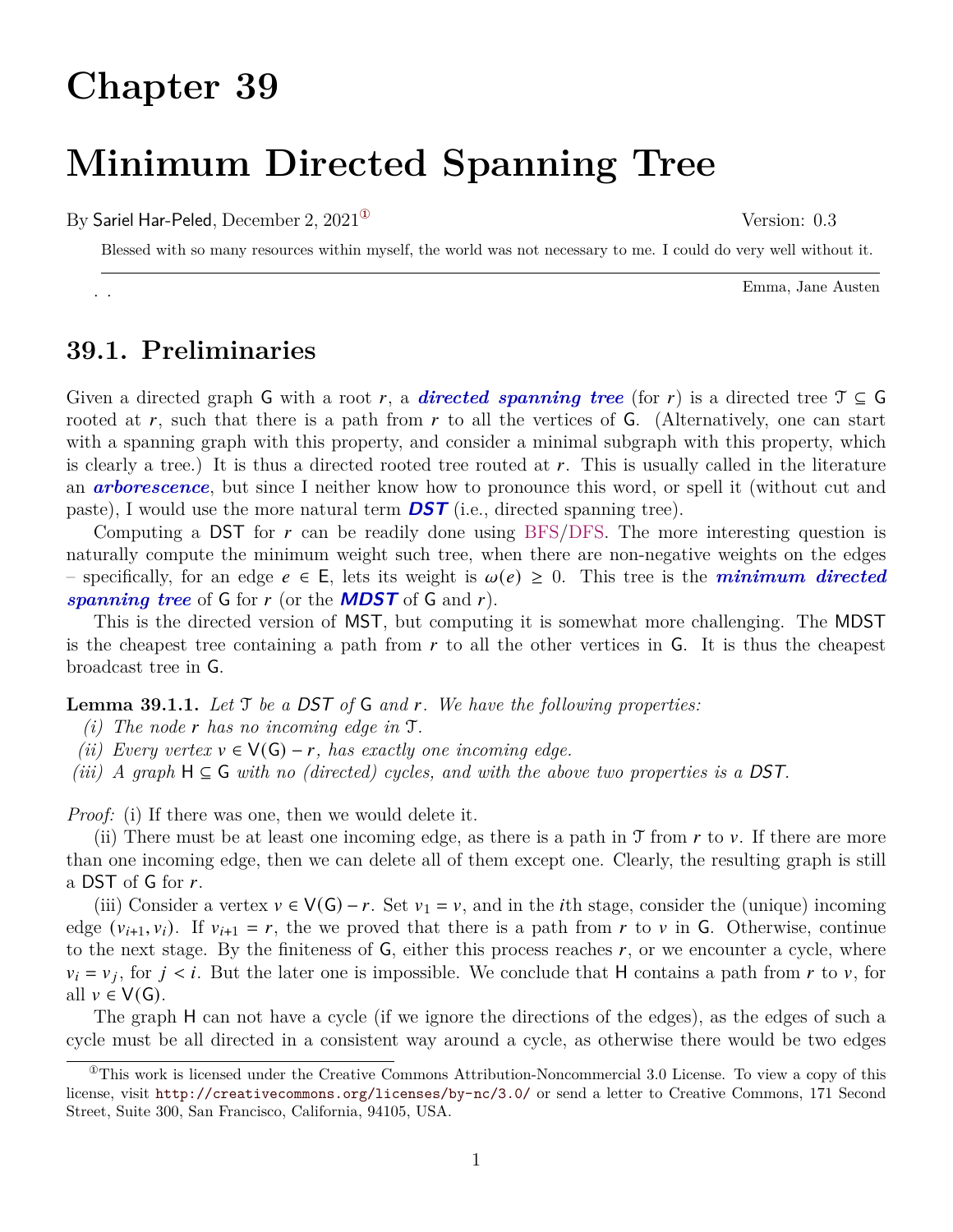## **Chapter 39**

# **Minimum Directed Spanning Tree**

By Sariel Har-Peled, December 2,  $2021^{\circ}$  Version: 0.3

Blessed with so many resources within myself, the world was not necessary to me. I could do very well without it.

Emma, Jane Austen . .

#### **39.1. Preliminaries**

Given a directed graph G with a root r, a **directed spanning tree** (for r) is a directed tree  $\mathcal{T} \subseteq G$ rooted at r, such that there is a path from r to all the vertices of  $\mathsf{G}$ . (Alternatively, one can start with a spanning graph with this property, and consider a minimal subgraph with this property, which is clearly a tree.) It is thus a directed rooted tree routed at  $r$ . This is usually called in the literature an *arborescence*, but since I neither know how to pronounce this word, or spell it (without cut and paste), I would use the more natural term **DST** (i.e., directed spanning tree).

Computing a DST for  $r$  can be readily done using BFS/DFS. The more interesting question is naturally compute the minimum weight such tree, when there are non-negative weights on the edges – specifically, for an edge  $e \in E$ , lets its weight is  $\omega(e) \geq 0$ . This tree is the *minimum directed spanning tree* of G for  $r$  (or the **MDST** of G and  $r$ ).

This is the directed version of MST, but computing it is somewhat more challenging. The MDST is the cheapest tree containing a path from  $r$  to all the other vertices in  $\mathsf{G}$ . It is thus the cheapest broadcast tree in G.

**Lemma 39.1.1.** *Let* T *be a* DST *of* G *and . We have the following properties:*

- *(i)* The node r has no incoming edge in  $\mathcal{T}$ .
- *(ii) Every vertex*  $v \in V(G) r$ , has exactly one incoming edge.

*(iii) A* graph  $H \subseteq G$  *with no (directed) cycles, and with the above two properties is a DST.* 

*Proof:* (i) If there was one, then we would delete it.

(ii) There must be at least one incoming edge, as there is a path in  $\mathcal T$  from  $r$  to  $v$ . If there are more than one incoming edge, then we can delete all of them except one. Clearly, the resulting graph is still a DST of G for  $r$ .

(iii) Consider a vertex  $v \in V(G) - r$ . Set  $v_1 = v$ , and in the *i*th stage, consider the (unique) incoming edge  $(v_{i+1}, v_i)$ . If  $v_{i+1} = r$ , the we proved that there is a path from r to v in G. Otherwise, continue to the next stage. By the finiteness of  $G$ , either this process reaches  $r$ , or we encounter a cycle, where  $v_i = v_j$ , for  $j \lt i$ . But the later one is impossible. We conclude that H contains a path from r to v, for all  $v \in V(G)$ .

The graph H can not have a cycle (if we ignore the directions of the edges), as the edges of such a cycle must be all directed in a consistent way around a cycle, as otherwise there would be two edges

<span id="page-0-0"></span><sup>&</sup>lt;sup>This</sup> work is licensed under the Creative Commons Attribution-Noncommercial 3.0 License. To view a copy of this license, visit <http://creativecommons.org/licenses/by-nc/3.0/> or send a letter to Creative Commons, 171 Second Street, Suite 300, San Francisco, California, 94105, USA.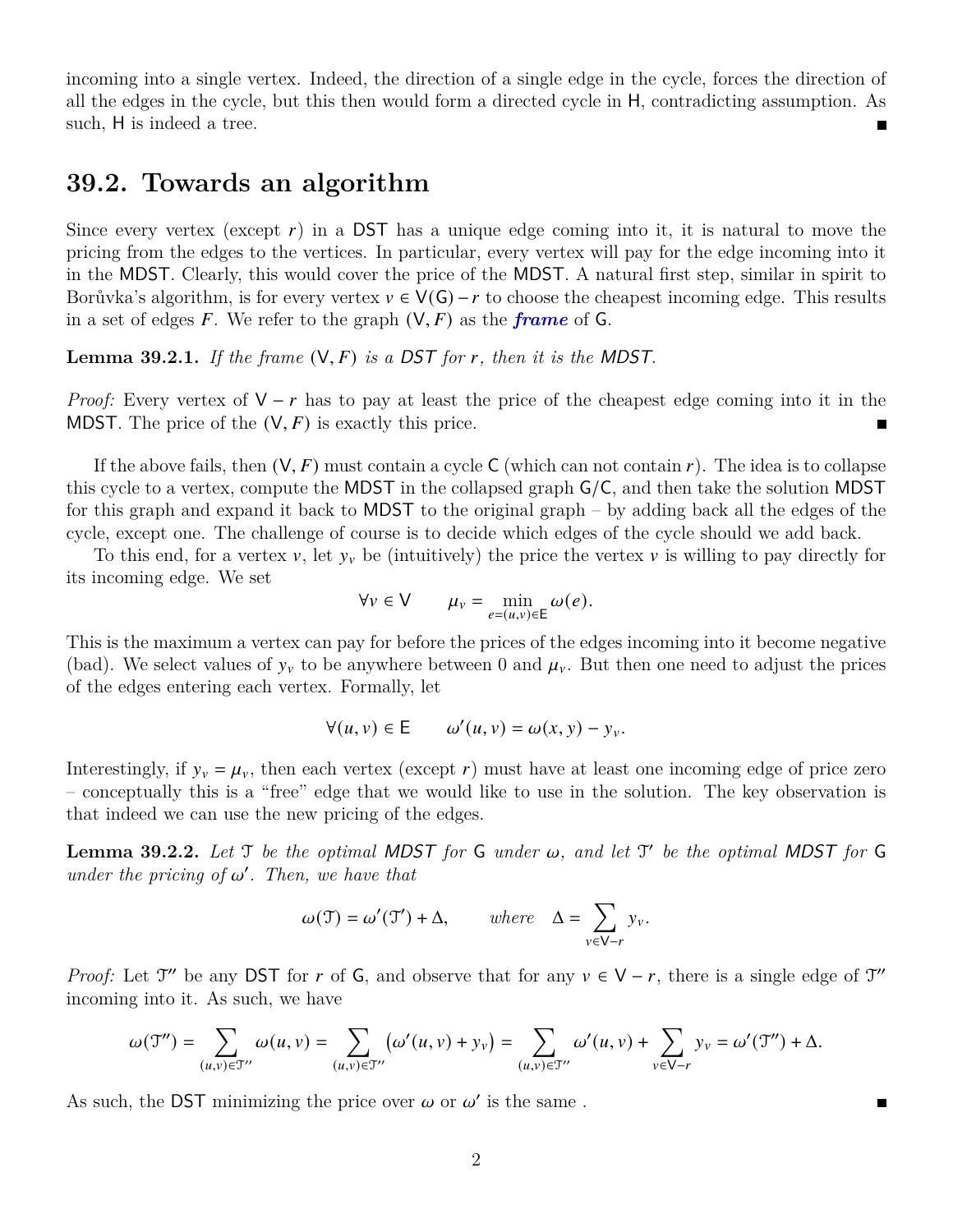incoming into a single vertex. Indeed, the direction of a single edge in the cycle, forces the direction of all the edges in the cycle, but this then would form a directed cycle in H, contradicting assumption. As such, H is indeed a tree.

#### **39.2. Towards an algorithm**

Since every vertex (except  $r$ ) in a DST has a unique edge coming into it, it is natural to move the pricing from the edges to the vertices. In particular, every vertex will pay for the edge incoming into it in the MDST. Clearly, this would cover the price of the MDST. A natural first step, similar in spirit to Borůvka's algorithm, is for every vertex  $v \in V(G) - r$  to choose the cheapest incoming edge. This results in a set of edges  $F$ . We refer to the graph  $(V, F)$  as the *frame* of G.

**Lemma 39.2.1.** *If the frame*  $(V, F)$  *is a DST for r, then it is the MDST.* 

*Proof:* Every vertex of  $V - r$  has to pay at least the price of the cheapest edge coming into it in the MDST. The price of the  $(V, F)$  is exactly this price.  $\blacksquare$ 

If the above fails, then  $(V, F)$  must contain a cycle C (which can not contain r). The idea is to collapse this cycle to a vertex, compute the MDST in the collapsed graph G/C, and then take the solution MDST for this graph and expand it back to MDST to the original graph – by adding back all the edges of the cycle, except one. The challenge of course is to decide which edges of the cycle should we add back.

To this end, for a vertex  $v$ , let  $y_v$  be (intuitively) the price the vertex  $v$  is willing to pay directly for its incoming edge. We set

$$
\forall v \in V \qquad \mu_v = \min_{e=(u,v)\in E} \omega(e).
$$

This is the maximum a vertex can pay for before the prices of the edges incoming into it become negative (bad). We select values of  $y_v$  to be anywhere between 0 and  $\mu_v$ . But then one need to adjust the prices of the edges entering each vertex. Formally, let

$$
\forall (u, v) \in E \qquad \omega'(u, v) = \omega(x, y) - y_v.
$$

Interestingly, if  $y_v = \mu_v$ , then each vertex (except r) must have at least one incoming edge of price zero – conceptually this is a "free" edge that we would like to use in the solution. The key observation is that indeed we can use the new pricing of the edges.

**Lemma 39.2.2.** Let  $\mathcal{T}$  be the optimal MDST for G under  $\omega$ , and let  $\mathcal{T}'$  be the optimal MDST for G *under the pricing of*  $\omega'$ *. Then, we have that* 

$$
\omega(\mathfrak{T}) = \omega'(\mathfrak{T}') + \Delta, \quad \text{where} \quad \Delta = \sum_{v \in V - r} y_v.
$$

*Proof:* Let  $\mathcal{T}''$  be any DST for r of G, and observe that for any  $v \in V - r$ , there is a single edge of  $\mathcal{T}''$ incoming into it. As such, we have

$$
\omega(\mathfrak{T}'')=\sum_{(u,v)\in \mathfrak{T}''}\omega(u,v)=\sum_{(u,v)\in \mathfrak{T}''}\bigl(\omega'(u,v)+y_v\bigr)=\sum_{(u,v)\in \mathfrak{T}''}\omega'(u,v)+\sum_{v\in \mathsf{V}-r}y_v=\omega'(\mathfrak{T}'')+ \Delta.
$$

П

As such, the DST minimizing the price over  $\omega$  or  $\omega'$  is the same.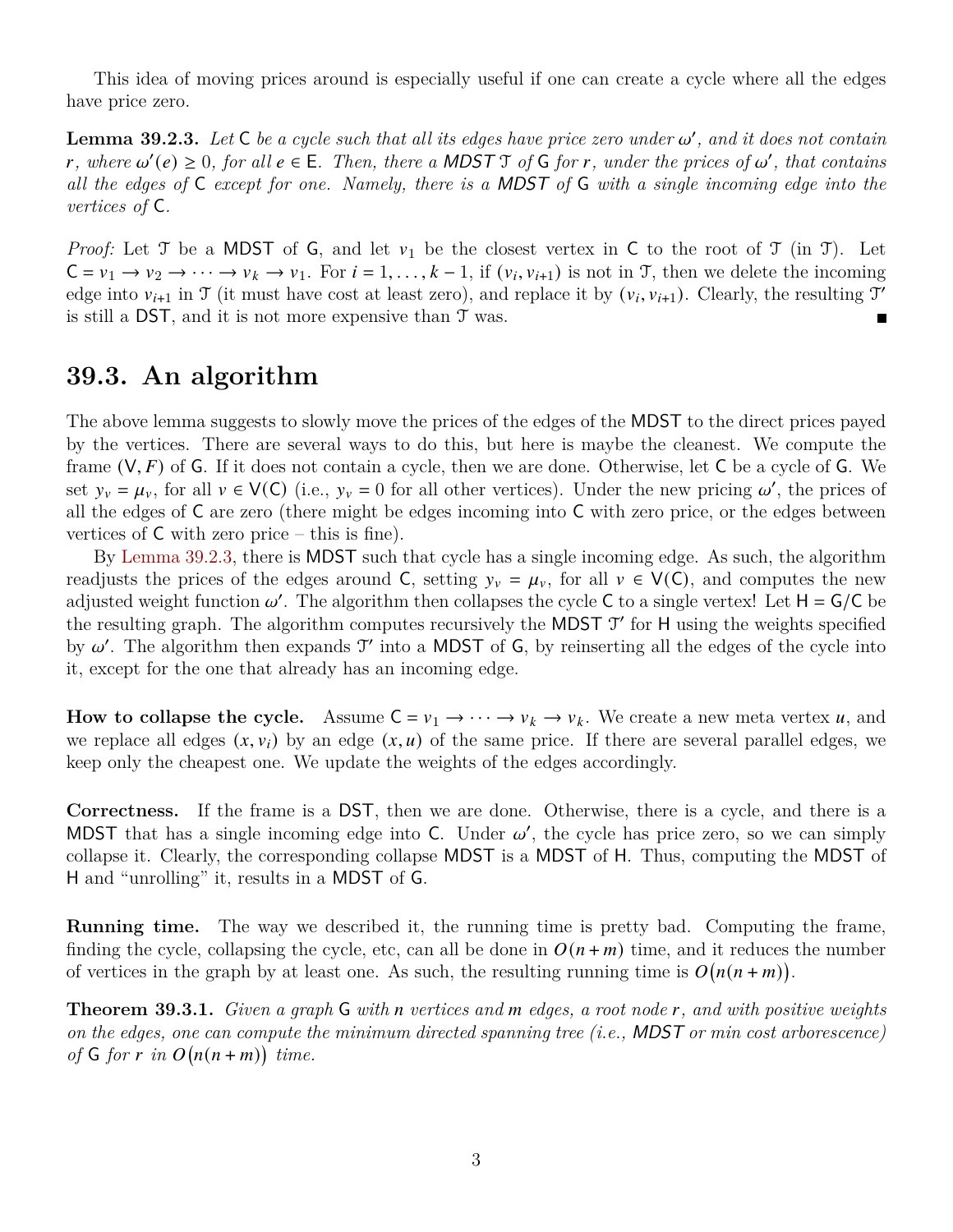This idea of moving prices around is especially useful if one can create a cycle where all the edges have price zero.

<span id="page-2-0"></span>**Lemma 39.2.3.** Let  $C$  be a cycle such that all its edges have price zero under  $\omega'$ , and it does not contain  $r$ , where  $\omega'(e) \geq 0$ , for all  $e \in E$ . Then, there a MDST  $\mathcal{T}$  of  $\mathsf{G}$  for  $r$ , under the prices of  $\omega'$ , that contains *all the edges of* C *except for one. Namely, there is a* MDST *of* G *with a single incoming edge into the vertices of* C*.*

*Proof:* Let T be a MDST of G, and let  $v_1$  be the closest vertex in C to the root of T (in T). Let  $C = v_1 \rightarrow v_2 \rightarrow \cdots \rightarrow v_k \rightarrow v_1$ . For  $i = 1, \ldots, k - 1$ , if  $(v_i, v_{i+1})$  is not in T, then we delete the incoming edge into  $v_{i+1}$  in T (it must have cost at least zero), and replace it by  $(v_i, v_{i+1})$ . Clearly, the resulting T' is still a DST, and it is not more expensive than T was.  $\blacksquare$ 

### **39.3. An algorithm**

The above lemma suggests to slowly move the prices of the edges of the MDST to the direct prices payed by the vertices. There are several ways to do this, but here is maybe the cleanest. We compute the frame  $(V, F)$  of G. If it does not contain a cycle, then we are done. Otherwise, let C be a cycle of G. We set  $y_v = \mu_v$ , for all  $v \in V(C)$  (i.e.,  $y_v = 0$  for all other vertices). Under the new pricing  $\omega'$ , the prices of all the edges of  $C$  are zero (there might be edges incoming into  $C$  with zero price, or the edges between vertices of  $C$  with zero price – this is fine).

By [Lemma 39.2.3,](#page-2-0) there is MDST such that cycle has a single incoming edge. As such, the algorithm readjusts the prices of the edges around C, setting  $y_v = \mu_v$ , for all  $v \in V(C)$ , and computes the new adjusted weight function  $\omega'$ . The algorithm then collapses the cycle C to a single vertex! Let  $H = G/C$  be the resulting graph. The algorithm computes recursively the MDST  $\mathcal{T}'$  for H using the weights specified by  $\omega'$ . The algorithm then expands  $\mathfrak{I}'$  into a MDST of G, by reinserting all the edges of the cycle into it, except for the one that already has an incoming edge.

**How to collapse the cycle.** Assume  $C = v_1 \rightarrow \cdots \rightarrow v_k \rightarrow v_k$ . We create a new meta vertex u, and we replace all edges  $(x, v_i)$  by an edge  $(x, u)$  of the same price. If there are several parallel edges, we keep only the cheapest one. We update the weights of the edges accordingly.

**Correctness.** If the frame is a DST, then we are done. Otherwise, there is a cycle, and there is a MDST that has a single incoming edge into C. Under  $\omega'$ , the cycle has price zero, so we can simply collapse it. Clearly, the corresponding collapse MDST is a MDST of H. Thus, computing the MDST of H and "unrolling" it, results in a MDST of G.

**Running time.** The way we described it, the running time is pretty bad. Computing the frame, finding the cycle, collapsing the cycle, etc, can all be done in  $O(n + m)$  time, and it reduces the number of vertices in the graph by at least one. As such, the resulting running time is  $O(n(n+m))$ .

**Theorem 39.3.1.** *Given a graph* G *with* n vertices and m edges, a root node r, and with positive weights *on the edges, one can compute the minimum directed spanning tree (i.e.,* MDST *or min cost arborescence) of*  $G$  *for*  $r$  *in*  $O(n(n+m))$  *time.*